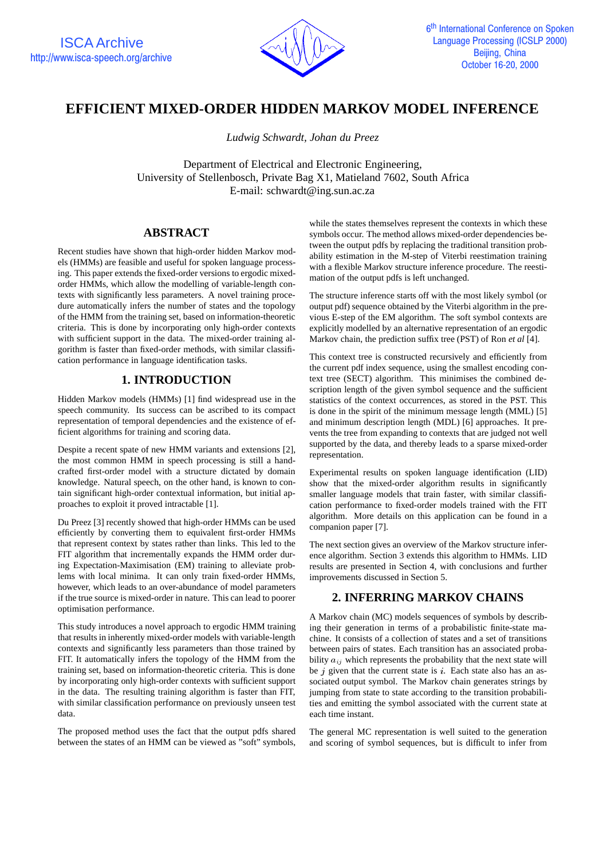

# **EFFICIENT MIXED-ORDER HIDDEN MARKOV MODEL INFERENCE**

*Ludwig Schwardt, Johan du Preez*

Department of Electrical and Electronic Engineering, University of Stellenbosch, Private Bag X1, Matieland 7602, South Africa E-mail: schwardt@ing.sun.ac.za

# **ABSTRACT**

Recent studies have shown that high-order hidden Markov models (HMMs) are feasible and useful for spoken language processing. This paper extends the fixed-order versions to ergodic mixedorder HMMs, which allow the modelling of variable-length contexts with significantly less parameters. A novel training procedure automatically infers the number of states and the topology of the HMM from the training set, based on information-theoretic criteria. This is done by incorporating only high-order contexts with sufficient support in the data. The mixed-order training algorithm is faster than fixed-order methods, with similar classification performance in language identification tasks.

# **1. INTRODUCTION**

Hidden Markov models (HMMs) [1] find widespread use in the speech community. Its success can be ascribed to its compact representation of temporal dependencies and the existence of efficient algorithms for training and scoring data.

Despite a recent spate of new HMM variants and extensions [2], the most common HMM in speech processing is still a handcrafted first-order model with a structure dictated by domain knowledge. Natural speech, on the other hand, is known to contain significant high-order contextual information, but initial approaches to exploit it proved intractable [1].

Du Preez [3] recently showed that high-order HMMs can be used efficiently by converting them to equivalent first-order HMMs that represent context by states rather than links. This led to the FIT algorithm that incrementally expands the HMM order during Expectation-Maximisation (EM) training to alleviate problems with local minima. It can only train fixed-order HMMs, however, which leads to an over-abundance of model parameters if the true source is mixed-order in nature. This can lead to poorer optimisation performance.

This study introduces a novel approach to ergodic HMM training that results in inherently mixed-order models with variable-length contexts and significantly less parameters than those trained by FIT. It automatically infers the topology of the HMM from the training set, based on information-theoretic criteria. This is done by incorporating only high-order contexts with sufficient support in the data. The resulting training algorithm is faster than FIT, with similar classification performance on previously unseen test data.

The proposed method uses the fact that the output pdfs shared between the states of an HMM can be viewed as "soft" symbols,

while the states themselves represent the contexts in which these symbols occur. The method allows mixed-order dependencies between the output pdfs by replacing the traditional transition probability estimation in the M-step of Viterbi reestimation training with a flexible Markov structure inference procedure. The reestimation of the output pdfs is left unchanged.

The structure inference starts off with the most likely symbol (or output pdf) sequence obtained by the Viterbi algorithm in the previous E-step of the EM algorithm. The soft symbol contexts are explicitly modelled by an alternative representation of an ergodic Markov chain, the prediction suffix tree (PST) of Ron *et al* [4].

This context tree is constructed recursively and efficiently from the current pdf index sequence, using the smallest encoding context tree (SECT) algorithm. This minimises the combined description length of the given symbol sequence and the sufficient statistics of the context occurrences, as stored in the PST. This is done in the spirit of the minimum message length (MML) [5] and minimum description length (MDL) [6] approaches. It prevents the tree from expanding to contexts that are judged not well supported by the data, and thereby leads to a sparse mixed-order representation.

Experimental results on spoken language identification (LID) show that the mixed-order algorithm results in significantly smaller language models that train faster, with similar classification performance to fixed-order models trained with the FIT algorithm. More details on this application can be found in a companion paper [7].

The next section gives an overview of the Markov structure inference algorithm. Section 3 extends this algorithm to HMMs. LID results are presented in Section 4, with conclusions and further improvements discussed in Section 5.

# **2. INFERRING MARKOV CHAINS**

A Markov chain (MC) models sequences of symbols by describing their generation in terms of a probabilistic finite-state machine. It consists of a collection of states and a set of transitions between pairs of states. Each transition has an associated probability  $a_{ij}$  which represents the probability that the next state will be  $j$  given that the current state is  $i$ . Each state also has an associated output symbol. The Markov chain generates strings by jumping from state to state according to the transition probabilities and emitting the symbol associated with the current state at each time instant.

The general MC representation is well suited to the generation and scoring of symbol sequences, but is difficult to infer from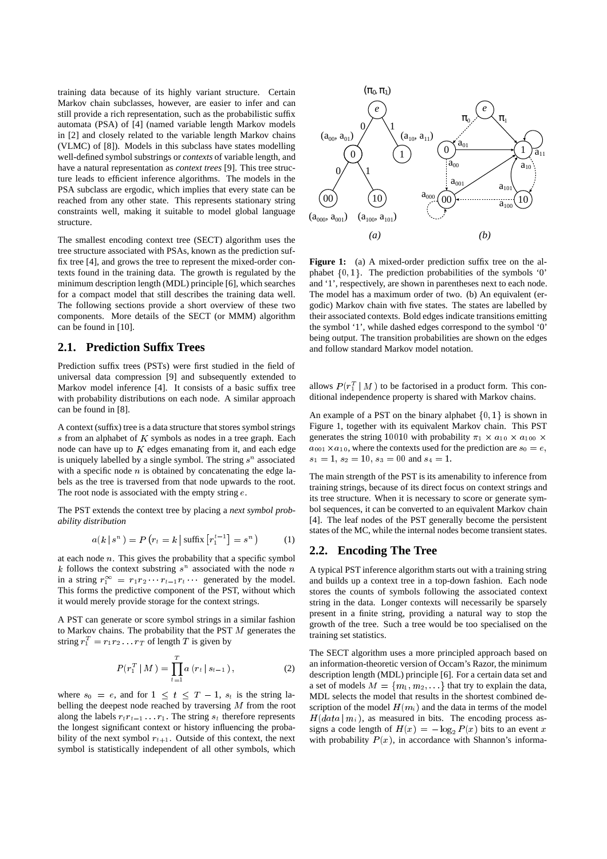training data because of its highly variant structure. Certain Markov chain subclasses, however, are easier to infer and can still provide a rich representation, such as the probabilistic suffix automata (PSA) of [4] (named variable length Markov models in [2] and closely related to the variable length Markov chains (VLMC) of [8]). Models in this subclass have states modelling well-defined symbol substrings or *contexts* of variable length, and have a natural representation as *context trees* [9]. This tree structure leads to efficient inference algorithms. The models in the PSA subclass are ergodic, which implies that every state can be reached from any other state. This represents stationary string constraints well, making it suitable to model global language structure.

The smallest encoding context tree (SECT) algorithm uses the tree structure associated with PSAs, known as the prediction suffix tree [4], and grows the tree to represent the mixed-order contexts found in the training data. The growth is regulated by the minimum description length (MDL) principle [6], which searches for a compact model that still describes the training data well. The following sections provide a short overview of these two components. More details of the SECT (or MMM) algorithm can be found in [10].

#### **2.1. Prediction Suffix Trees**

Prediction suffix trees (PSTs) were first studied in the field of universal data compression [9] and subsequently extended to Markov model inference [4]. It consists of a basic suffix tree with probability distributions on each node. A similar approach can be found in [8].

A context (suffix) tree is a data structure that stores symbol strings s from an alphabet of  $K$  symbols as nodes in a tree graph. Each node can have up to  $K$  edges emanating from it, and each edge is uniquely labelled by a single symbol. The string  $s^n$  associated with a specific node  $n$  is obtained by concatenating the edge labels as the tree is traversed from that node upwards to the root. The root node is associated with the empty string  $e$ .

The PST extends the context tree by placing a *next symbol probability distribution*

$$
a(k \mid s^n) = P\left(r_t = k \mid \text{suffix}\left[r_1^{t-1}\right] = s^n\right) \tag{1}
$$

at each node  $n$ . This gives the probability that a specific symbol k follows the context substring  $s^n$  associated with the node n A typic in a string  $r_1^{\infty} = r_1 r_2 \cdots r_{t-1} r_t \cdots$  generated by the model. This forms the predictive component of the PST, without which it would merely provide storage for the context strings.

A PST can generate or score symbol strings in a similar fashion to Markov chains. The probability that the PST <sup>M</sup> generates the string  $r_1^T = r_1 r_2 \dots r_T$  of length T is given by

$$
P(r_1^T \mid M) = \prod_{t=1}^T a(r_t \mid s_{t-1}), \tag{2}
$$

where  $s_0 = e$ , and for  $1 \le t \le T - 1$ ,  $s_t$  is the string labelling the deepest node reached by traversing  $M$  from the root along the labels  $r_t r_{t-1} \ldots r_1$ . The string  $s_t$  therefore represents the longest significant context or history influencing the probability of the next symbol  $r_{t+1}$ . Outside of this context, the next symbol is statistically independent of all other symbols, which



Figure 1: (a) A mixed-order prediction suffix tree on the alphabet  $\{0, 1\}$ . The prediction probabilities of the symbols '0' and '1', respectively, are shown in parentheses next to each node. The model has a maximum order of two. (b) An equivalent (ergodic) Markov chain with five states. The states are labelled by their associated contexts. Bold edges indicate transitions emitting the symbol '1', while dashed edges correspond to the symbol '0' being output. The transition probabilities are shown on the edges and follow standard Markov model notation.

allows  $P(r_1^T | M)$  to be factorised in a product form. This conditional independence property is shared with Markov chains.

An example of a PST on the binary alphabet  $\{0, 1\}$  is shown in Figure 1, together with its equivalent Markov chain. This PST generates the string 10010 with probability  $\pi_1 \times a_{10} \times a_{100} \times$  $a_{001} \times a_{10}$ , where the contexts used for the prediction are  $s_0 = e$ ,  $s_1 = 1, s_2 = 10, s_3 = 00$  and  $s_4 = 1$ .

The main strength of the PST is its amenability to inference from training strings, because of its direct focus on context strings and its tree structure. When it is necessary to score or generate symbol sequences, it can be converted to an equivalent Markov chain [4]. The leaf nodes of the PST generally become the persistent states of the MC, while the internal nodes become transient states.

#### **2.2. Encoding The Tree**

A typical PST inference algorithm starts out with a training string and builds up a context tree in a top-down fashion. Each node stores the counts of symbols following the associated context string in the data. Longer contexts will necessarily be sparsely present in a finite string, providing a natural way to stop the growth of the tree. Such a tree would be too specialised on the training set statistics.

The SECT algorithm uses a more principled approach based on an information-theoretic version of Occam's Razor, the minimum description length (MDL) principle [6]. For a certain data set and a set of models  $M = \{m_1, m_2, \ldots\}$  that try to explain the data, MDL selects the model that results in the shortest combined description of the model  $H(m<sub>i</sub>)$  and the data in terms of the model  $H(data | m<sub>i</sub>)$ , as measured in bits. The encoding process assigns a code length of  $H(x) = -\log_2 P(x)$  bits to an event x with probability  $P(x)$ , in accordance with Shannon's informa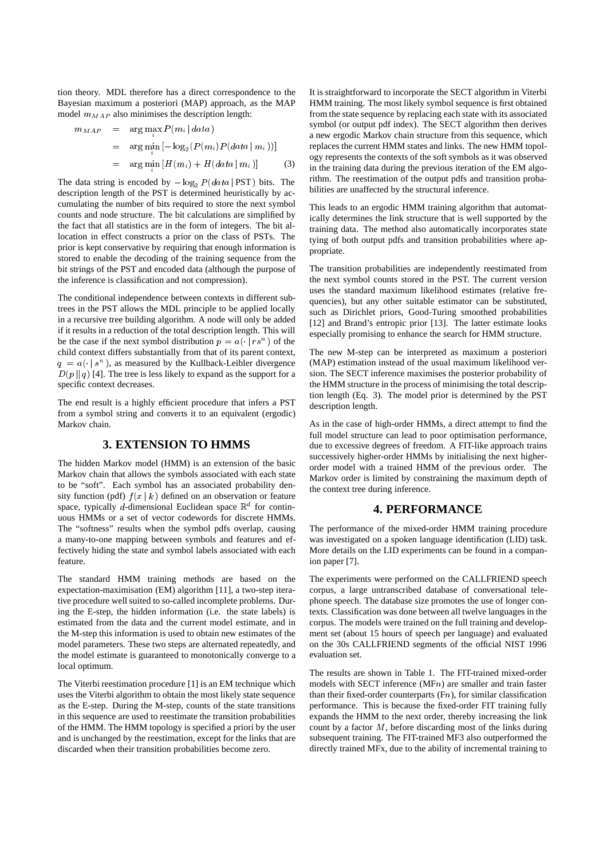tion theory. MDL therefore has a direct correspondence to the Bayesian maximum a posteriori (MAP) approach, as the MAP model  $m_{MAP}$  also minimises the description length:

$$
m_{MAP} = \arg \max_{i} P(m_i | data)
$$
  
= 
$$
\arg \min_{i} [-\log_2(P(m_i)P(data | m_i))]
$$
  
= 
$$
\arg \min_{i} [H(m_i) + H(data | m_i)]
$$
 (3)

The data string is encoded by  $-\log_2 P(data \, | \, \text{PST})$  bits. The description length of the PST is determined heuristically by accumulating the number of bits required to store the next symbol counts and node structure. The bit calculations are simplified by the fact that all statistics are in the form of integers. The bit allocation in effect constructs a prior on the class of PSTs. The prior is kept conservative by requiring that enough information is stored to enable the decoding of the training sequence from the bit strings of the PST and encoded data (although the purpose of the inference is classification and not compression).

The conditional independence between contexts in different subtrees in the PST allows the MDL principle to be applied locally in a recursive tree building algorithm. A node will only be added if it results in a reduction of the total description length. This will be the case if the next symbol distribution  $p = a(\cdot | rs^n)$  of the child context differs substantially from that of its parent context,  $q = a(\cdot | s^n)$ , as measured by the Kullback-Leibler divergence  $D(p || q)$  [4]. The tree is less likely to expand as the support for a specific context decreases.

The end result is a highly efficient procedure that infers a PST from a symbol string and converts it to an equivalent (ergodic) Markov chain.

# **3. EXTENSION TO HMMS**

The hidden Markov model (HMM) is an extension of the basic Markov chain that allows the symbols associated with each state to be "soft". Each symbol has an associated probability density function (pdf)  $f(x | k)$  defined on an observation or feature space, typically d-dimensional Euclidean space  $\mathbb{R}^d$  for continuous HMMs or a set of vector codewords for discrete HMMs. The "softness" results when the symbol pdfs overlap, causing a many-to-one mapping between symbols and features and effectively hiding the state and symbol labels associated with each feature.

The standard HMM training methods are based on the expectation-maximisation (EM) algorithm [11], a two-step iterative procedure well suited to so-called incomplete problems. During the E-step, the hidden information (i.e. the state labels) is estimated from the data and the current model estimate, and in the M-step this information is used to obtain new estimates of the model parameters. These two steps are alternated repeatedly, and the model estimate is guaranteed to monotonically converge to a local optimum.

The Viterbi reestimation procedure [1] is an EM technique which uses the Viterbi algorithm to obtain the most likely state sequence as the E-step. During the M-step, counts of the state transitions in this sequence are used to reestimate the transition probabilities of the HMM. The HMM topology is specified a priori by the user and is unchanged by the reestimation, except for the links that are discarded when their transition probabilities become zero.

It is straightforward to incorporate the SECT algorithm in Viterbi HMM training. The most likely symbol sequence is first obtained from the state sequence by replacing each state with its associated symbol (or output pdf index). The SECT algorithm then derives a new ergodic Markov chain structure from this sequence, which replaces the current HMM states and links. The new HMM topology represents the contexts of the soft symbols as it was observed in the training data during the previous iteration of the EM algorithm. The reestimation of the output pdfs and transition probabilities are unaffected by the structural inference.

This leads to an ergodic HMM training algorithm that automatically determines the link structure that is well supported by the training data. The method also automatically incorporates state tying of both output pdfs and transition probabilities where appropriate.

The transition probabilities are independently reestimated from the next symbol counts stored in the PST. The current version uses the standard maximum likelihood estimates (relative frequencies), but any other suitable estimator can be substituted, such as Dirichlet priors, Good-Turing smoothed probabilities [12] and Brand's entropic prior [13]. The latter estimate looks especially promising to enhance the search for HMM structure.

The new M-step can be interpreted as maximum a posteriori (MAP) estimation instead of the usual maximum likelihood version. The SECT inference maximises the posterior probability of the HMM structure in the process of minimising the total description length (Eq. 3). The model prior is determined by the PST description length.

As in the case of high-order HMMs, a direct attempt to find the full model structure can lead to poor optimisation performance, due to excessive degrees of freedom. A FIT-like approach trains successively higher-order HMMs by initialising the next higherorder model with a trained HMM of the previous order. The Markov order is limited by constraining the maximum depth of the context tree during inference.

#### **4. PERFORMANCE**

The performance of the mixed-order HMM training procedure was investigated on a spoken language identification (LID) task. More details on the LID experiments can be found in a companion paper [7].

The experiments were performed on the CALLFRIEND speech corpus, a large untranscribed database of conversational telephone speech. The database size promotes the use of longer contexts. Classification was done between all twelve languages in the corpus. The models were trained on the full training and development set (about 15 hours of speech per language) and evaluated on the 30s CALLFRIEND segments of the official NIST 1996 evaluation set.

The results are shown in Table 1. The FIT-trained mixed-order models with SECT inference  $(MFn)$  are smaller and train faster than their fixed-order counterparts  $(Fn)$ , for similar classification performance. This is because the fixed-order FIT training fully expands the HMM to the next order, thereby increasing the link count by a factor  $M$ , before discarding most of the links during subsequent training. The FIT-trained MF3 also outperformed the directly trained MFx, due to the ability of incremental training to